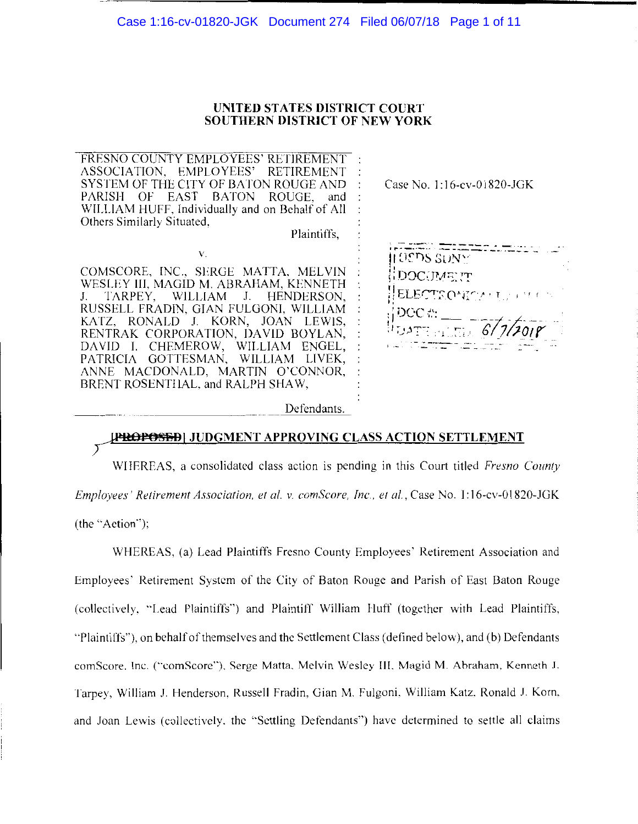#### Case 1:16-cv-01820-JGK Document 274 Filed 06/07/18 Page 1 of 11

#### **UNITED STATES DISTRICT COURT SOUTHERN DISTRICT OF NEW YORK**

FRESNO COUNTY EMPLOYEES' RETIREMENT :<br>ASSOCIATION, EMPLOYEES' RETIREMENT : ASSOCIATION, EMPLOYEES' SYSTEM OF THE CITY OF BATON ROUGE AND<br>PARISH OF EAST BATON ROUGE, and BATON ROUGE, and WILLIAM HUFF, Individually and on Behalf of All Others Similarly Situated,

Plaintiffs,

COMSCORE, INC., SERGE MATTA, MELVIN WESLEY III, MAGID M. ABRAHAM, KENNETH<br>J. – TARPEY, – WILLIAM – J. – HENDERSON, J. TARPEY, WILLIAM RUSSELL FRADIN, GIAN FULGONI, WILLIAM KATZ, RONALD J. KORN, JOAN LEWIS, RENTRAK CORPORATION, DAVID BOYLAN, DA YID I. CHEMEROW, WILLIAM ENGEL, PATRICIA GOTTESMAN, WILLIAM LIVEK, ANNE MACDONALD, MARTIN O'CONNOR, BRENT ROSENTHAL, and RALPH SHAW,

v.

Defendants.

## P<del>ROPOSED</del>| JUDGMENT APPROVING CLASS ACTION SETTLEMENT

WIIEREAS, a consolidated class action is pending in this Court titled *Fresno County Employees' Retirement Association, et al. v. comScore, Inc., et al., Case No. I:16-cv-01820-JGK* 

(the "Action");

WHEREAS, (a) Lead Plaintiffs Fresno County Employees' Retirement Association and Employees· Retirement System of the City of Baton Rouge and Parish of East Baton Rouge (collectively. "Lead Plaintiffs") and Plaintiff William Huff (together with Lead Plaintiffs, "Plaintiffs"), on behalf of themselves and the Settlement Class (defined below), and (b) Defendants comScore. Inc. ("comScore"). Serge Matta. Melvin Wesley Ill. Magid M Ahraham, Kenneth J. Tarpey, William J. Henderson. Russell Fradin, Gian M. Fulgoni, William Katz. Ronald J. Korn. and Joan Lewis (collectively. the ''Settling Defendants") have determined to settle all claims

Case No. 1: 16-cv-01820-JGK

 $\pm 0$ eds s $_{\rm{DNN}^{\ast}}$ i : D'.JC c P ,;t~: *:T*  ELECTS ON? CALL FRIED  $\rm _{H}$ DCC  $\rm _{H}$  .  $\frac{1}{1000}$   $\frac{1}{1000}$   $\frac{1}{1000}$   $\frac{1}{1000}$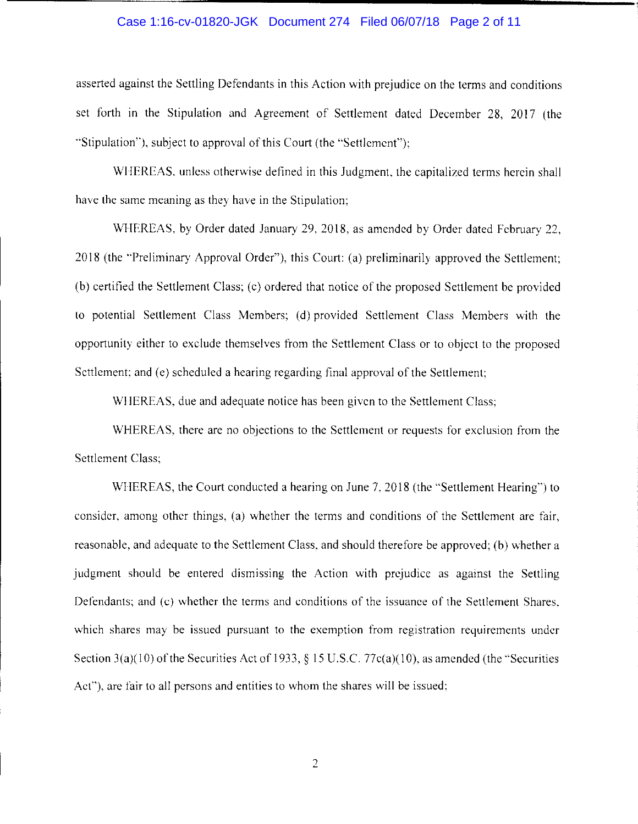#### Case 1:16-cv-01820-JGK Document 274 Filed 06/07/18 Page 2 of 11

asserted against the Settling Defendants in this Action with prejudice on the terms and conditions set forth in the Stipulation and Agreement of Settlement dated December 28, 2017 (the "Stipulation''), subject to approval of this Court (the "Settlement'');

WHEREAS, unless otherwise defined in this Judgment, the capitalized terms herein shall have the same meaning as they have in the Stipulation;

WHEREAS, by Order dated January 29, 2018, as amended by Order dated February 22, 2018 (the "Preliminary Approval Order"), this Court: (a) preliminarily approved the Settlement; (b) certified the Settlement Class; (c) ordered that notice of the proposed Settlement be provided to potential Settlement Class Members; (d) provided Settlement Class Members with the opportunity either to exclude themselves from the Settlement Class or to object to the proposed Settlement; and (e) scheduled a hearing regarding final approval of the Settlement;

WHEREAS, due and adequate notice has been given to the Settlement Class;

WHEREAS, there are no objections to the Settlement or requests for exclusion from the Settlement Class;

WHEREAS, the Court conducted a hearing on June 7, 2018 (the "Settlement Hearing") to consider, among other things, (a) whether the terms and conditions of the Settlement are fair, reasonable, and adequate to the Settlement Class, and should therefore be approved; (b) whether a judgment should be entered dismissing the Action with prejudice as against the Settling Defendants; and {c) whether the terms and conditions of the issuance of the Settlement Shares, which shares may be issued pursuant to the exemption from registration requirements under Section  $3(a)(10)$  of the Securities Act of 1933, § 15 U.S.C. 77c(a)(10), as amended (the "Securities Act"), are fair to all persons and entities to whom the shares will be issued: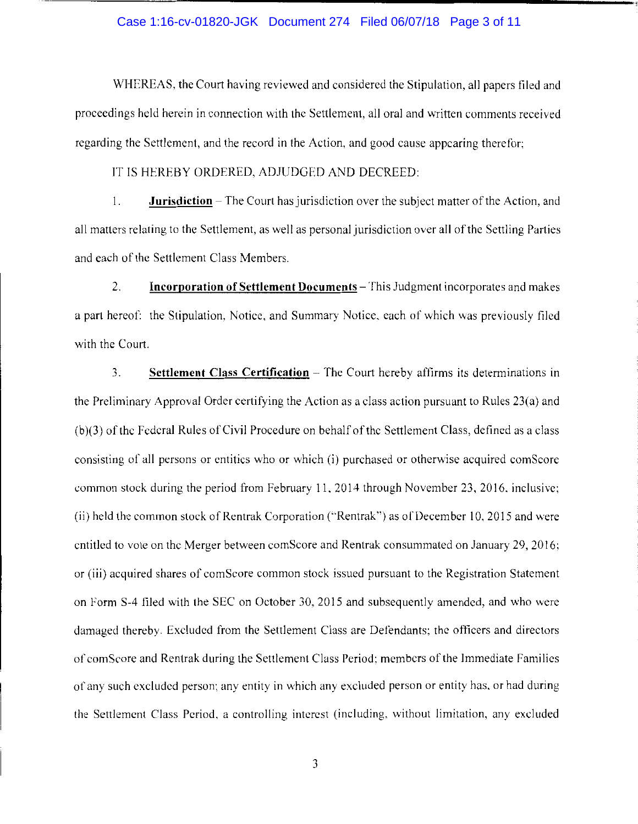#### Case 1:16-cv-01820-JGK Document 274 Filed 06/07/18 Page 3 of 11

WHEREAS, the Court having reviewed and considered the Stipulation, all papers filed and proceedings held herein in connection with the Settlement, all oral and written comments received regarding the Settlement, and the record in the Action, and good cause appearing therefor;

IT IS HEREBY ORDERED, ADJUDGED AND DECREED:

1. **Jurisdiction-The** Court has jurisdiction over the subject matter of the Action, and all matters relating to the Settlement, as well as personal jurisdiction over all of the Settling Parties and each of the Settlement Class Members.

2. **Incorporation of Settlement Documents** - This Judgment incorporates and makes a part hereof: the Stipulation, Notice, and Summary Notice, each of which was previously filed with the Court.

3. **Settlement Class Certification** – The Court hereby affirms its determinations in the Preliminary Approval Order certifying the Action as a class action pursuant to Rules 23(a) and (b )(3) of the Federal Rules of Civil Procedure on behalf of the Settlement Class, defined as a class consisting of all persons or entities who or which (i) purchased or otherwise acquired comScorc common stock during the period from February 11, 2014 through November 23, 2016. inclusive; (ii) held the common stock of Rentrak Corporation ("Rentrak") as of December 10, 2015 and were entitled to vote on the Merger between com Score and Rentrak consummated on January 29, 2016; or (iii) acquired shares of comScore common stock issued pursuant to the Registration Statement on Form S-4 filed with the SEC on October 30, 2015 and subsequently amended, and who were damaged thereby. Excluded from the Settlement Class are Defendants; the officers and directors of comScore and Rentrak during the Settlement Class Period; members of the Immediate Families of any such excluded person; any entity in which any excluded person or entity has. or had during the Settlement Class Period, a controlling interest (including, without limitation, any excluded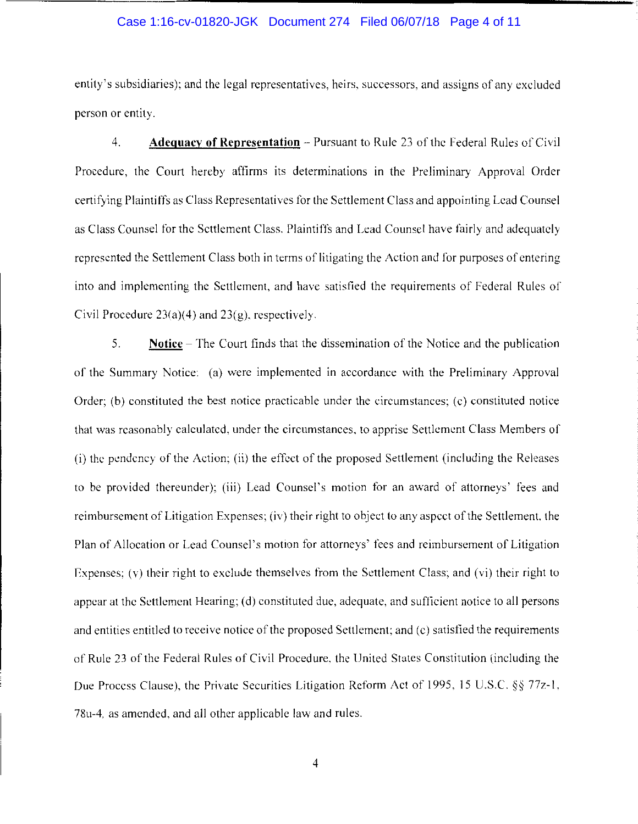#### Case 1:16-cv-01820-JGK Document 274 Filed 06/07/18 Page 4 of 11

entity's subsidiaries); and the legal representatives, heirs, successors, and assigns of any excluded person or entity.

4. **Adequacy of Representation** – Pursuant to Rule 23 of the Federal Rules of Civil Procedure, the Court hereby affirms its determinations in the Preliminary Approval Order certifying Plaintiffs as Class Representatives for the Settlement Class and appointing Lead Counsel as Class Counsel for the Settlement Class. Plaintiffs and Lead Counsel have fairly and adequately represented the Settlement Class both in terms of litigating the Action and for purposes of entering into and implementing the Settlement, and have satisfied the requirements of Federal Rules of Civil Procedure 23(a)(4) and 23(g), respectively.

5. **Notice** - The Court finds that the dissemination of the Notice and the publication of the Summary Notice: (a) were implemented in accordance with the Preliminary Approval Order;  $(b)$  constituted the best notice practicable under the circumstances;  $(c)$  constituted notice that was reasonably calculated, under the circumstances, to apprise Settlement Class Members of (i) the pendency of the Action; (ii) the effect of the proposed Settlement (including the Releases to be provided thereunder); (iii) Lead Counsel's motion for an award of attorneys' fees and reimbursement of Litigation Expenses; (iv) their right to object to any aspect of the Settlement. the Plan of Allocation or Lead Counsel's motion for attorneys' fees and reimbursement of Litigation Expenses; (v) their right to exclude themselves from the Settlement Class; and (vi) their right to appear at the Settlement Hearing; (d) constituted due, adequate, and sufficient notice to all persons and entities entitled to receive notice of the proposed Settlement; and (c) satisfied the requirements of Rule 23 of the Federal Rules of Civil Procedure, the United States Constitution (including the Due Process Clause), the Private Securities Litigation Reform Act of 1995, 15 U.S.C. §§ 77z-1, 78u-4. as amended, and all other applicable law and rules.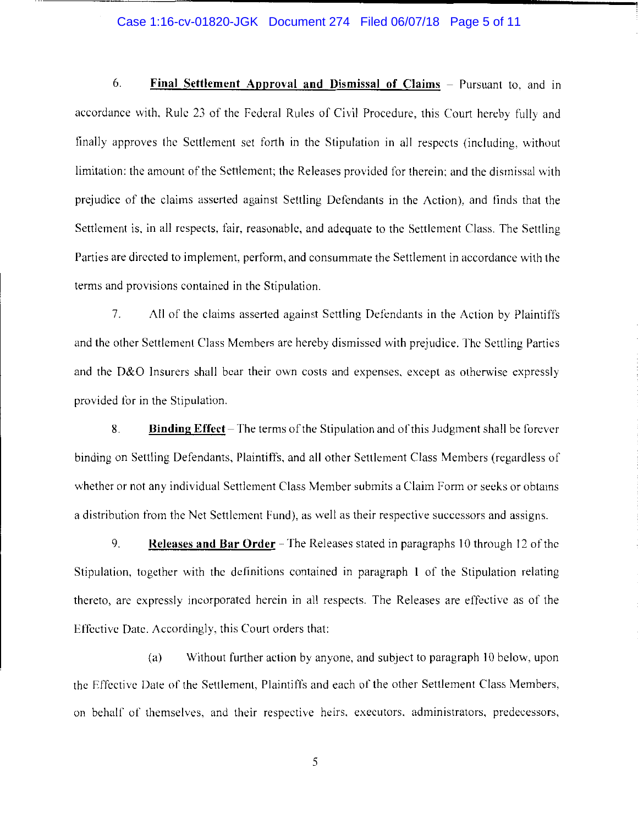#### Case 1:16-cv-01820-JGK Document 274 Filed 06/07/18 Page 5 of 11

6. **Final Settlement Approval and Dismissal of Claims** - Pursuant to, and in accordance with, Ruic 23 of the Federal Rules of Civil Procedure, this Court hereby fully and finally approves the Settlement set forth in the Stipulation in all respects (including. without limitation: the amount of the Settlement: the Releases provided for therein: and the dismissal with prejudice of the claims asserted against Settling Defendants in the Action), and finds that the Settlement is, in all respects. fair, reasonable, and adequate to the Settlement Class. The Settling Parties are directed to implement, perform, and consummate the Settlement in accordance with the terms and provisions contained in the Stipulation.

7. All of the claims asserted against Settling Defendants in the Action by Plaintiffs and the other Settlement Class Members are hereby dismissed with prejudice. The Settling Parties and the D&O Insurers shall bear their own costs and expenses. except as otherwise expressly provided for in the Stipulation.

8. **Binding Effect** - The terms of the Stipulation and of'this Judgment shall be forever binding on Settling Defendants, Plaintiffs, and all other Settlement Class Members (regardless of whether or not any individual Settlement Class Member submits a Claim Form or seeks or obtains a distribution from the Net Settlement Fund), as well as their respective successors and assigns.

9. **Releases and Bar Order** – The Releases stated in paragraphs 10 through 12 of the Stipulation, together with the definitions contained in paragraph I of the Stipulation relating thereto, are expressly incorporated herein in all respects. The Releases are effective as of the Effective Date. Accordingly, this Court orders that:

(a) Without further action by anyone, and subject to paragraph I 0 below, upon the Effective Date of the Settlement, Plaintiffs and each of the other Settlement Class Members, on behalf of themselves, and their respective heirs, executors, administrators, predecessors,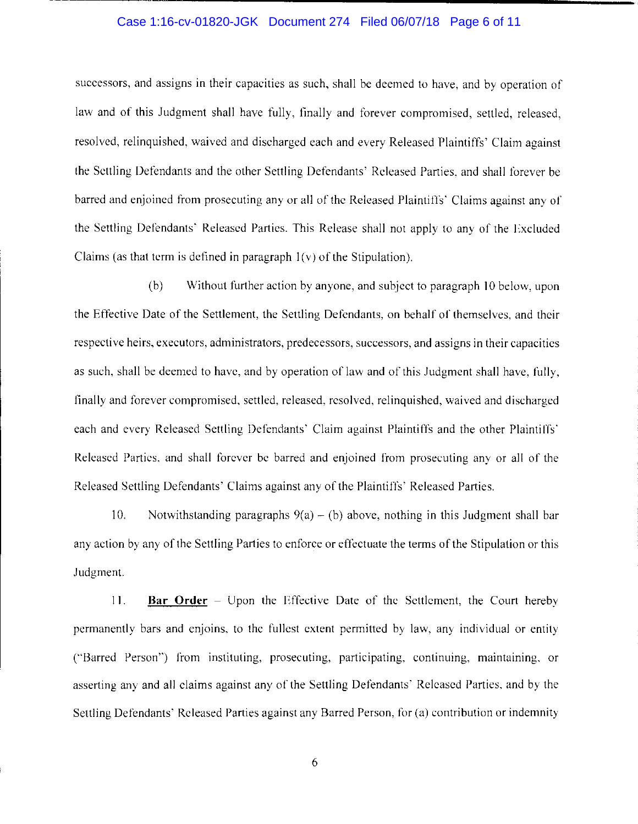#### Case 1:16-cv-01820-JGK Document 274 Filed 06/07/18 Page 6 of 11

successors, and assigns in their capacities as such, shall be deemed to have, and by operation of law and of this Judgment shall have fully, finally and forever compromised, settled, released, resolved, relinquished, waived and discharged each and every Released Plaintiffs' Claim against the Settling Defendants and the other Settling Defendants' Released Parties. and shall forever be barred and enjoined from prosecuting any or all of the Released Plaintiffs' Claims against any of the Settling Defendants' Released Parties. This Release shall not apply to any of the Excluded Claims (as that term is defined in paragraph  $1(v)$  of the Stipulation).

(b) Without further action by anyone, and subject to paragraph 10 below, upon the Effective Date of the Settlement, the Settling Defendants, on behalf of themselves, and their respective heirs, executors. administrators, predecessors, successors. and assigns in their capacities as such, shall be deemed to have, and by operation of law and of this Judgment shall have, fully, finally and forever compromised, settled, released, resolved, relinquished, waived and discharged each and every Released Settling Defendants' Claim against Plaintiffs and the other Plaintiffs' Released Parties, and shall forever be barred and enjoined from prosecuting any or all of the Released Settling Defendants' Claims against any of the Plaintiffs' Released Parties.

10. Notwithstanding paragraphs  $9(a) - (b)$  above, nothing in this Judgment shall bar any action by any of the Settling Parties to enforce or effectuate the terms of the Stipulation or this Judgment.

11. **Bar Order** - Upon the Effective Date of the Settlement, the Court hereby permanently bars and enjoins. to the fullest extent permitted by law, any individual or entity ("Barred Person") from instituting, prosecuting, participating, continuing, maintaining, or asserting any and all claims against any of the Settling Defendants' Released Parties, and by the Settling Defendants' Released Parties against any Barred Person, for (a) contribution or indemnity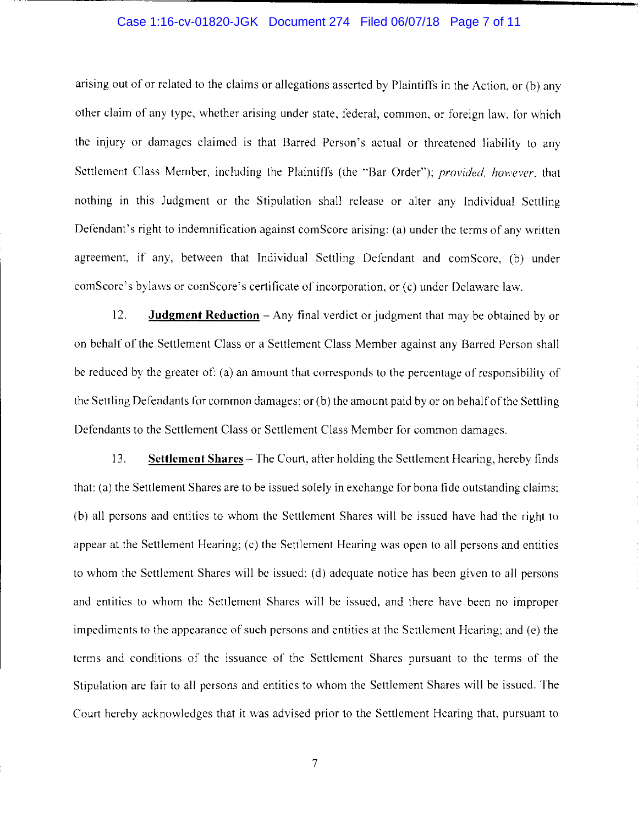#### Case 1:16-cv-01820-JGK Document 274 Filed 06/07/18 Page 7 of 11

arising out of or related to the claims or allegations asserted by Plaintiffs in the Action, or (b) any other claim of any type, whether arising under state, federal, common, or foreign law, for which the injury or damages claimed is that Barred Person's actual or threatened liability to any Settlement Class Member, including the Plaintiffs (the "Bar Order"); *provided, however,* that nothing in this Judgment or the Stipulation shall release or alter any Individual Settling Defendant's right to indemnification against comScore arising: (a) under the terms of any written agreement, if any, between that Individual Settling Defendant and com Score, (b) under comScore's bylaws or comScore's certificate of incorporation, or (c) under Delaware law.

12. **Judgment Reduction** - Any final verdict or judgment that may be obtained by or on behalf of the Settlement Class or a Settlement Class Member against any Barred Person shall be reduced by the greater of: (a) an amount that corresponds to the percentage of responsibility of the Settling Defendants for common damages: or (b) the amount paid by or on behalfofthc Settling Defendants to the Settlement Class or Settlement Class Member for common damages.

13. **Settlement Shares** - The Court, after holding the Settlement Hearing, hereby finds that: (a) the Settlement Shares are to be issued solely in exchange for bona fide outstanding claims: (b) all persons and entities to whom the Settlement Shares will be issued have had the right to appear at the Settlement Hearing; (c) the Settlement Hearing was open to all persons and entities to whom the Settlement Shares will be issued: (d) adequate notice has been given to all persons and entities to whom the Settlement Shares will be issued, and there have been no improper impediments to the appearance of such persons and entities at the Settlement Hearing; and (e) the terms and conditions of the issuance of the Settlement Shares pursuant to the terms of the Stipulation are fair to all persons and entities to whom the Settlement Shares will be issued. The Court hereby acknowledges that it was advised prior to the Settlement Hearing that, pursuant to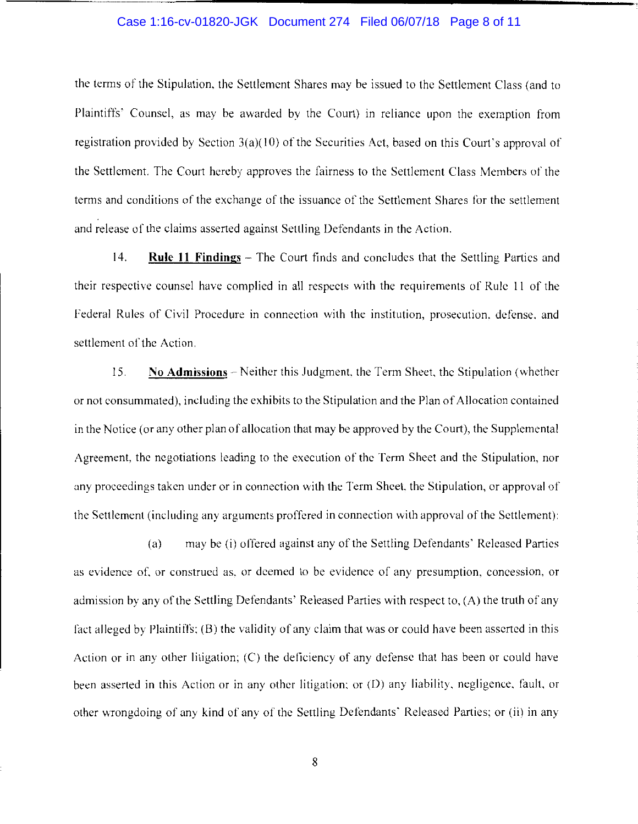#### Case 1:16-cv-01820-JGK Document 274 Filed 06/07/18 Page 8 of 11

the terms of the Stipulation. the Settlement Shares may be issued to the Settlement Class (and to Plaintiffs' Counsel, as may be awarded by the Court) in reliance upon the exemption from registration provided by Section  $3(a)(10)$  of the Securities Act, based on this Court's approval of the Settlement. The Court hereby approves the fairness to the Settlement Class Members of the terms and conditions of the exchange of the issuance of the Settlement Shares for the settlement and release of the claims asserted against Settling Defendants in the Action.

14. **Rule 11 Findings** – The Court finds and concludes that the Settling Parties and their respective counsel have complied in all respects with the requirements of Ruic 11 of the Federal Rules of Civil Procedure in connection with the institution, prosecution. defense. and settlement of the Action.

15. No **Admissions** - Neither this Judgment. the Term Sheet. the Stipulation (whether or not consummated), including the exhibits to the Stipulation and the Plan of Allocation contained in the Notice (or any other plan of allocation that may be approved by the Court), the Supplemental Agreement, the negotiations leading to the execution of the Term Sheet and the Stipulation, nor any proceedings taken under or in connection with the Term Sheet. the Stipulation, or approval of the Settlement (including any arguments proffered in connection with approval of the Settlement):

(a) may be (i) offered against any of the Settling Defendants' Released Parties as evidence of. or construed as, or deemed to be evidence of any presumption, concession, or admission by any of the Settling Defendants' Released Parties with respect to, (A) the truth of any fact alleged by Plaintiffs; (B) the validity of any claim that was or could have been asserted in this Action or in any other litigation; (C) the deficiency of any defense that has been or could have been asserted in this Action or in any other litigation: or (D) any liability, negligence, fault, or other wrongdoing of any kind of any of the Settling Defendants' Released Parties; or (ii) in any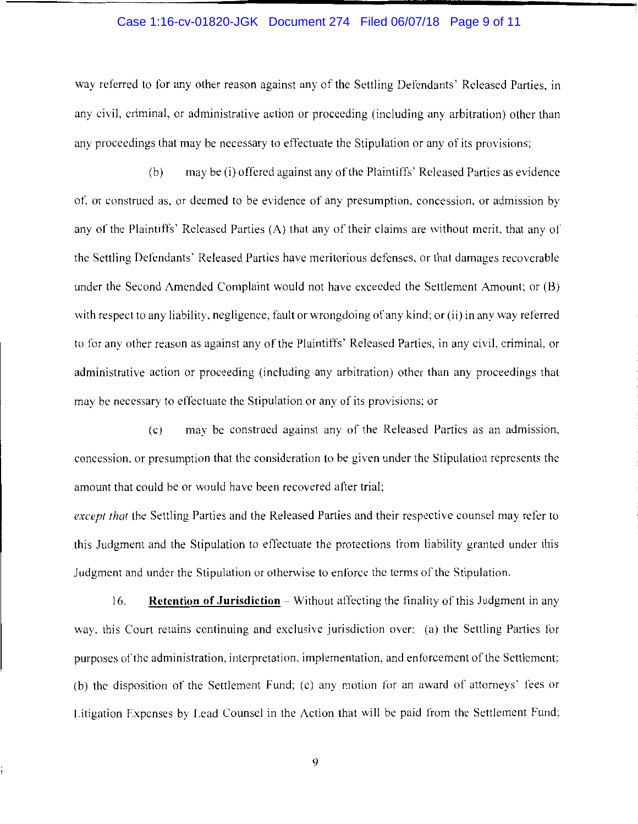#### Case 1:16-cv-01820-JGK Document 274 Filed 06/07/18 Page 9 of 11

way referred to for any other reason against any of the Settling Defendants' Released Parties, in any civil, criminal, or administrative action or proceeding (including any arbitration) other than any proceedings that may be necessary to effectuate the Stipulation or any of its provisions;

(b) may be (i) offered against any of the Plaintiffs' Released Parties as evidence of, or construed as, or deemed to be evidence of any presumption, concession, or admission by any of the Plaintiffs' Released Parties (A) that any of their claims are without merit, that any of the Settling Defendants' Released Parties have meritorious defenses, or that damages recoverable under the Second Amended Complaint would not have exceeded the Settlement Amount; or (B) with respect to any liability, negligence, fault or wrongdoing of any kind; or (ii) in any way referred to for any other reason as against any of the Plaintiffs' Released Parties, in any civil, criminal. or administrative action or proceeding (including any arbitration) other than any proceedings that may be necessary to effectuate the Stipulation or any of its provisions; or

(c) may be construed against any of the Released Parties as an admission, concession. or presumption that the consideration to be given under the Stipulation represents the amount that could be or would have been recovered after trial;

*except that* the Settling Parties and the Released Parties and their respective counsel may refer to this Judgment and the Stipulation to effectuate the protections from liability granted under this Judgment and under the Stipulation or otherwise to enforce the terms of the Stipulation.

16. **Retention of Jurisdiction** – Without affecting the finality of this Judgment in any way, this Court retains continuing and exclusive jurisdiction over: (a) the Settling Parties for purposes of the administration, interpretation, implementation, and enforcement of the Settlement; (b) the disposition of the Settlement Fund; (c) any motion for an award of attorneys' fees or Litigation Expenses by Lead Counsel in the Action that will be paid from the Settlement Fund;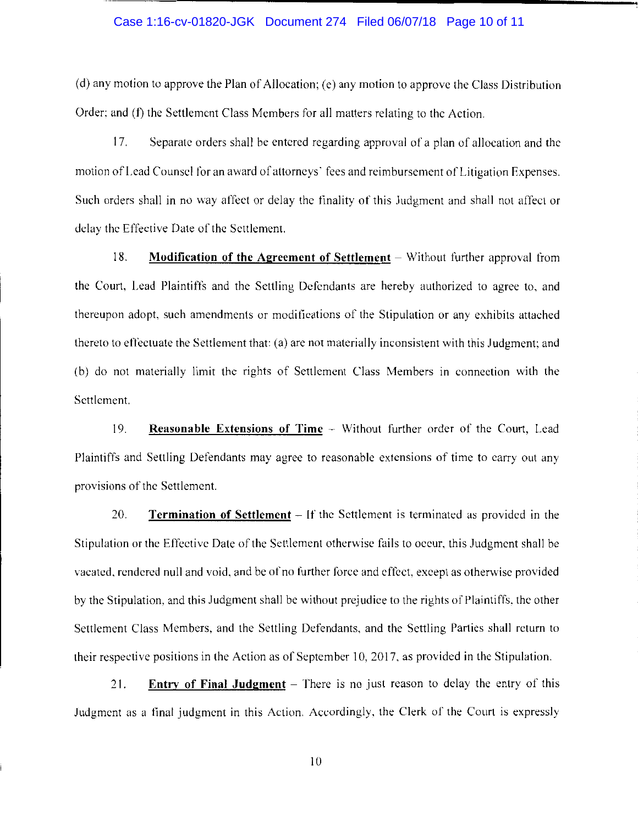# -------------------------------------- Case 1:16-cv-01820-JGK Document 274 Filed 06/07/18 Page 10 of 11

(d) any motion to approve the Plan of Allocation; (e) any motion to approve the Class Distribution Order: and (f) the Settlement Class Members for all matters relating to the Action.

17. Separate orders shall be entered regarding approval of a plan of allocation and the motion of Lead Counsel for an award of attorneys' fees and reimbursement of Litigation Expenses. Such orders shall in no way affect or delay the finality of this Judgment and shall not affect or delay the Effective Date of the Settlement.

18. **Modification of the Agreement of Settlement** – Without further approval from the Court. Lead Plaintiffs and the Settling Defendants are hereby authorized to agree to, and thereupon adopt, such amendments or modifications of the Stipulation or any exhibits attached thereto to effectuate the Settlement that: (a) are not materially inconsistent with this Judgment; and (b) do not materially limit the rights of Settlement Class Members in connection with the Settlement.

19. **Reasonable Extensions of Time** - Without further order of the Court, Lead Plaintiffs and Settling Defendants may agree to reasonable extensions of time to carry out any provisions of the Settlement.

20. **Termination of Settlement** - If the Settlement is terminated as provided in the Stipulation or the Effective Date of the Settlement otherwise fails to occur, this Judgment shall be vacated. rendered null and void. and be of no further force and effect, except as otherwise provided by the Stipulation, and this Judgment shall be without prejudice to the rights of Plaintiffs. the other Settlement Class Members, and the Settling Defendants, and the Settling Parties shall return to their respective positions in the Action as of September 10, 2017, as provided in the Stipulation.

21. **Entry of Final Judgment** – There is no just reason to delay the entry of this Judgment as a final judgment in this Action. Accordingly, the Clerk of the Court is expressly